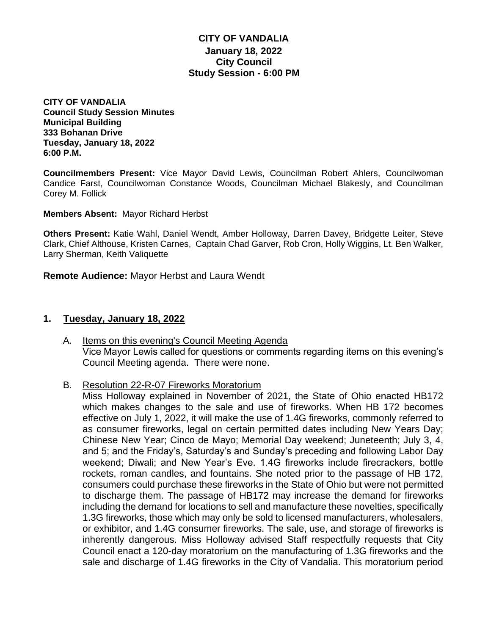### **CITY OF VANDALIA January 18, 2022 City Council Study Session - 6:00 PM**

**CITY OF VANDALIA Council Study Session Minutes Municipal Building 333 Bohanan Drive Tuesday, January 18, 2022 6:00 P.M.**

**Councilmembers Present:** Vice Mayor David Lewis, Councilman Robert Ahlers, Councilwoman Candice Farst, Councilwoman Constance Woods, Councilman Michael Blakesly, and Councilman Corey M. Follick

**Members Absent:** Mayor Richard Herbst

**Others Present:** Katie Wahl, Daniel Wendt, Amber Holloway, Darren Davey, Bridgette Leiter, Steve Clark, Chief Althouse, Kristen Carnes, Captain Chad Garver, Rob Cron, Holly Wiggins, Lt. Ben Walker, Larry Sherman, Keith Valiquette

**Remote Audience:** Mayor Herbst and Laura Wendt

#### **1. Tuesday, January 18, 2022**

- A. Items on this evening's Council Meeting Agenda Vice Mayor Lewis called for questions or comments regarding items on this evening's Council Meeting agenda. There were none.
- B. Resolution 22-R-07 Fireworks Moratorium

Miss Holloway explained in November of 2021, the State of Ohio enacted HB172 which makes changes to the sale and use of fireworks. When HB 172 becomes effective on July 1, 2022, it will make the use of 1.4G fireworks, commonly referred to as consumer fireworks, legal on certain permitted dates including New Years Day; Chinese New Year; Cinco de Mayo; Memorial Day weekend; Juneteenth; July 3, 4, and 5; and the Friday's, Saturday's and Sunday's preceding and following Labor Day weekend; Diwali; and New Year's Eve. 1.4G fireworks include firecrackers, bottle rockets, roman candles, and fountains. She noted prior to the passage of HB 172, consumers could purchase these fireworks in the State of Ohio but were not permitted to discharge them. The passage of HB172 may increase the demand for fireworks including the demand for locations to sell and manufacture these novelties, specifically 1.3G fireworks, those which may only be sold to licensed manufacturers, wholesalers, or exhibitor, and 1.4G consumer fireworks. The sale, use, and storage of fireworks is inherently dangerous. Miss Holloway advised Staff respectfully requests that City Council enact a 120-day moratorium on the manufacturing of 1.3G fireworks and the sale and discharge of 1.4G fireworks in the City of Vandalia. This moratorium period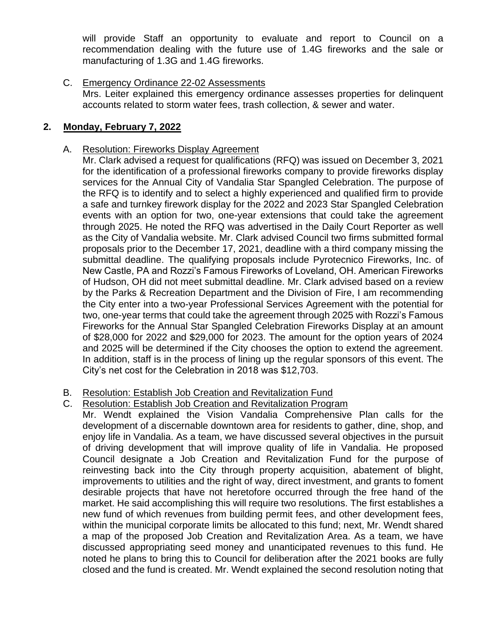will provide Staff an opportunity to evaluate and report to Council on a recommendation dealing with the future use of 1.4G fireworks and the sale or manufacturing of 1.3G and 1.4G fireworks.

C. Emergency Ordinance 22-02 Assessments Mrs. Leiter explained this emergency ordinance assesses properties for delinquent accounts related to storm water fees, trash collection, & sewer and water.

# **2. Monday, February 7, 2022**

## A. Resolution: Fireworks Display Agreement

Mr. Clark advised a request for qualifications (RFQ) was issued on December 3, 2021 for the identification of a professional fireworks company to provide fireworks display services for the Annual City of Vandalia Star Spangled Celebration. The purpose of the RFQ is to identify and to select a highly experienced and qualified firm to provide a safe and turnkey firework display for the 2022 and 2023 Star Spangled Celebration events with an option for two, one-year extensions that could take the agreement through 2025. He noted the RFQ was advertised in the Daily Court Reporter as well as the City of Vandalia website. Mr. Clark advised Council two firms submitted formal proposals prior to the December 17, 2021, deadline with a third company missing the submittal deadline. The qualifying proposals include Pyrotecnico Fireworks, Inc. of New Castle, PA and Rozzi's Famous Fireworks of Loveland, OH. American Fireworks of Hudson, OH did not meet submittal deadline. Mr. Clark advised based on a review by the Parks & Recreation Department and the Division of Fire, I am recommending the City enter into a two-year Professional Services Agreement with the potential for two, one-year terms that could take the agreement through 2025 with Rozzi's Famous Fireworks for the Annual Star Spangled Celebration Fireworks Display at an amount of \$28,000 for 2022 and \$29,000 for 2023. The amount for the option years of 2024 and 2025 will be determined if the City chooses the option to extend the agreement. In addition, staff is in the process of lining up the regular sponsors of this event. The City's net cost for the Celebration in 2018 was \$12,703.

### B. Resolution: Establish Job Creation and Revitalization Fund

### C. Resolution: Establish Job Creation and Revitalization Program

Mr. Wendt explained the Vision Vandalia Comprehensive Plan calls for the development of a discernable downtown area for residents to gather, dine, shop, and enjoy life in Vandalia. As a team, we have discussed several objectives in the pursuit of driving development that will improve quality of life in Vandalia. He proposed Council designate a Job Creation and Revitalization Fund for the purpose of reinvesting back into the City through property acquisition, abatement of blight, improvements to utilities and the right of way, direct investment, and grants to foment desirable projects that have not heretofore occurred through the free hand of the market. He said accomplishing this will require two resolutions. The first establishes a new fund of which revenues from building permit fees, and other development fees, within the municipal corporate limits be allocated to this fund; next, Mr. Wendt shared a map of the proposed Job Creation and Revitalization Area. As a team, we have discussed appropriating seed money and unanticipated revenues to this fund. He noted he plans to bring this to Council for deliberation after the 2021 books are fully closed and the fund is created. Mr. Wendt explained the second resolution noting that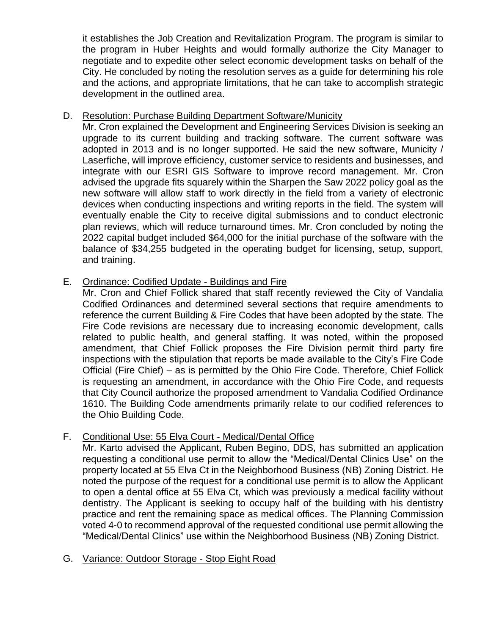it establishes the Job Creation and Revitalization Program. The program is similar to the program in Huber Heights and would formally authorize the City Manager to negotiate and to expedite other select economic development tasks on behalf of the City. He concluded by noting the resolution serves as a guide for determining his role and the actions, and appropriate limitations, that he can take to accomplish strategic development in the outlined area.

## D. Resolution: Purchase Building Department Software/Municity

Mr. Cron explained the Development and Engineering Services Division is seeking an upgrade to its current building and tracking software. The current software was adopted in 2013 and is no longer supported. He said the new software, Municity / Laserfiche, will improve efficiency, customer service to residents and businesses, and integrate with our ESRI GIS Software to improve record management. Mr. Cron advised the upgrade fits squarely within the Sharpen the Saw 2022 policy goal as the new software will allow staff to work directly in the field from a variety of electronic devices when conducting inspections and writing reports in the field. The system will eventually enable the City to receive digital submissions and to conduct electronic plan reviews, which will reduce turnaround times. Mr. Cron concluded by noting the 2022 capital budget included \$64,000 for the initial purchase of the software with the balance of \$34,255 budgeted in the operating budget for licensing, setup, support, and training.

## E. Ordinance: Codified Update - Buildings and Fire

Mr. Cron and Chief Follick shared that staff recently reviewed the City of Vandalia Codified Ordinances and determined several sections that require amendments to reference the current Building & Fire Codes that have been adopted by the state. The Fire Code revisions are necessary due to increasing economic development, calls related to public health, and general staffing. It was noted, within the proposed amendment, that Chief Follick proposes the Fire Division permit third party fire inspections with the stipulation that reports be made available to the City's Fire Code Official (Fire Chief) – as is permitted by the Ohio Fire Code. Therefore, Chief Follick is requesting an amendment, in accordance with the Ohio Fire Code, and requests that City Council authorize the proposed amendment to Vandalia Codified Ordinance 1610. The Building Code amendments primarily relate to our codified references to the Ohio Building Code.

# F. Conditional Use: 55 Elva Court - Medical/Dental Office

Mr. Karto advised the Applicant, Ruben Begino, DDS, has submitted an application requesting a conditional use permit to allow the "Medical/Dental Clinics Use" on the property located at 55 Elva Ct in the Neighborhood Business (NB) Zoning District. He noted the purpose of the request for a conditional use permit is to allow the Applicant to open a dental office at 55 Elva Ct, which was previously a medical facility without dentistry. The Applicant is seeking to occupy half of the building with his dentistry practice and rent the remaining space as medical offices. The Planning Commission voted 4-0 to recommend approval of the requested conditional use permit allowing the "Medical/Dental Clinics" use within the Neighborhood Business (NB) Zoning District.

### G. Variance: Outdoor Storage - Stop Eight Road